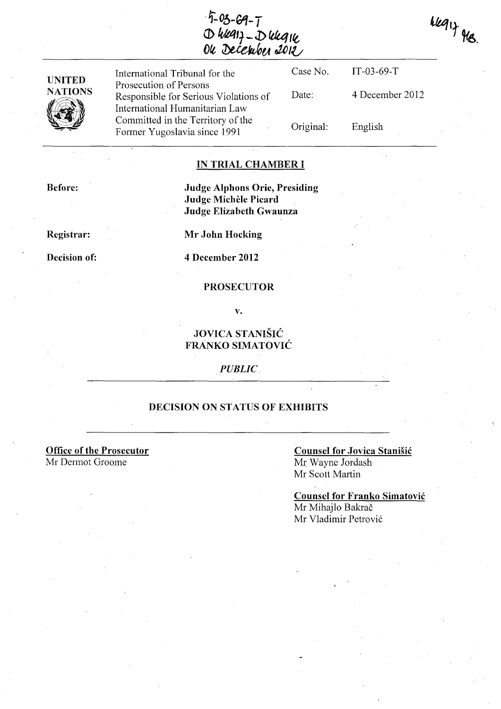$5 - 03 - 69 - 7$ <br>O wang - D wang<br>Ou December 2012

 $key_1$  Meg .

| <b>UNITED</b><br><b>NATIONS</b><br>V7 | International Tribunal for the                                                                      | Case No.  | $IT-03-69-T$    |
|---------------------------------------|-----------------------------------------------------------------------------------------------------|-----------|-----------------|
|                                       | Prosecution of Persons<br>Responsible for Serious Violations of                                     | Date:     | 4 December 2012 |
|                                       | International Humanitarian Law<br>Committed in the Territory of the<br>Former Yugoslavia since 1991 | Original: | English         |

## IN TRIAL CHAMBER I

Before:

## Judge Alphons Orie, Presiding Judge Michèle Picard Judge Elizabeth Gwaunza

Registrar:

Decision of:

Mr John Hocking

4 December 2012

#### **PROSECUTOR**

v.

# JOVICA STANISIC FRANKO SIMATOVIC

*PUBLIC* 

### DECISION ON STATUS OF EXHIBITS

Office of the Prosecutor Mr Dermot Groome

## Counsel for Jovica Stanisic Mr Wayne lordash Mr Scott Martin

. Counsel for Franko Simatovic Mr Mihajlo Bakrač Mr Vladimir Petrović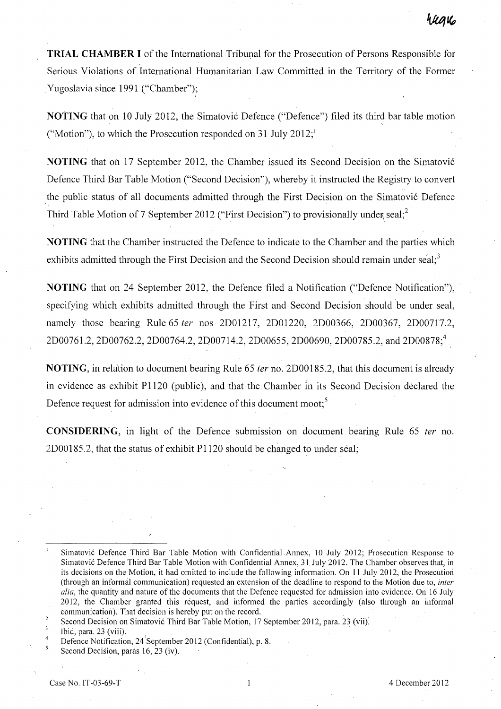**TRIAL CHAMBER I** of the International Tribunal for the Prosecution of Persons Responsible for Serious Violations of International Humanitarian Law Committed in the Territory of the Former Yugoslavia since 1991 ("Chamber");

**NOTING** that on 10 July 2012, the Simatović Defence ("Defence") filed its third bar table motion ("Motion"), to which the Prosecution responded on  $31$  July  $2012$ ;"

**NOTING** that on 17 September 2012, the Chamber issued its Second Decision on the Simatović Defence Third Bar Table Motion ("Second Decision"), whereby it instructed the Registry to convert the public status of all documents admitted through the First Decision on the Simatovi6 Defence Third Table Motion of 7 September 2012 ("First Decision") to provisionally under seal;<sup>2</sup>

**NOTING** that the Chaniber instructed the Defence to indicate to the Chamber and the parties which exhibits admitted through the First Decision and the Second Decision should remain under seal;<sup>3</sup>

**NOTING** that on 24 September 2012, the Defence filed a Notification ("Defence Notification"), specifying which exhibits admitted through the First and Second Decision should be under seal, namely those bearing Rule 65 ter nos 2D01217, 2D01220, 2D00366, 2D00367, 2D00717.2, 2D00761.2, 2D00762.2, 2D00764.2, 2D00714.2, 2D00655, 2D00690, 2D00785.2, and 2D00878;4

**NOTING,** in relation to document bearing Rule 65 fer no. 2D00185.2, that this document is already in evidence as exhibit P1120 (public), and that the Chamber in its Second Decision declared the Defence request for admission into evidence of this document moot:<sup>5</sup>

**CONSIDERING,** in light of the Defence submission on document bearing Rule 65 fer no. 2D00185.2, that the status of exhibit P1120 should be changed to under seal;

 $\overline{2}$  $\overline{3}$ 

 $\overline{5}$ 

Simatovic Defence Third Bar Table Motion with Confidential Annex, 10 July 2012; Prosecution Response to Simatovic Defence Third Bar Table Motion with Confidential Annex, 31. July 2012. The Chamber observes that, in its decisions on the Motion, it had omitted to include the following information. On 11 July 2012, the Prosecutiori (through an informal communication) requested an extension of the deadline to respond to the Motion due to, *inter alia,* the quantity and nature of the documents that the Defence requested for admission into evidence. On 16 July 2012, the Chamber granted this request, and informed the parties accordingly (also through an informal communication). That decision is hereby put on the record.

Second Decision on Simatovic Third Bar Table Motion, 17 September 2012, para. 23 (vii).

Ibid, para. 23 (viii).

<sup>4</sup>  Defence Notification, 24'September 2012 (Confidential), p. 8.

Second Decision, paras 16, 23 (iv).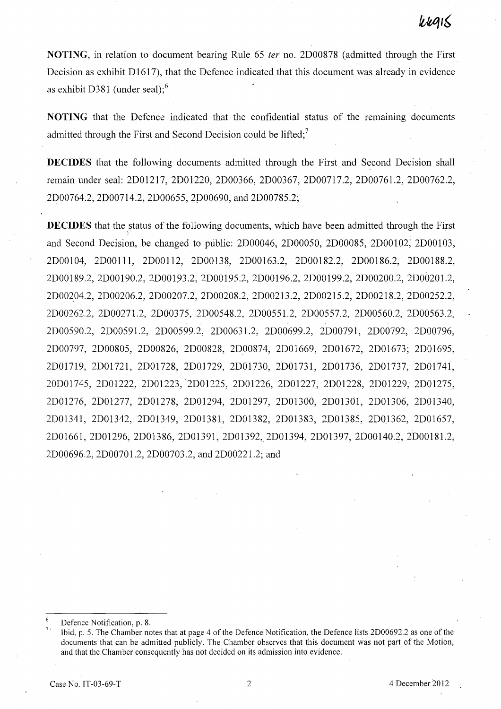NOTING, in relation to document bearing Rule 65 fer no. 2D00878 (admitted through the First Decision as exhibit  $D1617$ , that the Defence indicated that this document was already in evidence as exhibit D381 (under seal): $6$ 

NOTING that the Defence indicated that the confidential status of the remaining documents admitted through the First and Second Decision could be lifted;<sup>7</sup>

DECIDES that the following documents admitted through the First and Second Decision shall remain under seal: 2D01217, 2D01220, 2D00366, 2D00367, 2D00717.2, 2D00761.2, 2D00762.2, 2D00764.2, 2D00714.2, 2D00655, 2P00690, and 2D00785.2;

DECIDES that the status of the following documents, which have been admitted through the First and Second Decision, be changed to public: 2D00046, 2D00050, 2D00085, 2DOOI02; 2DOOI03, 2DOOI04, 2DOOl11, 2D00112, 2D00138, 2D00163.2, 2D00182.2, 2D00186.2, 2D00188.2, 2D00189.2, 2D00190.2, 2D00193.2, 2D00195.2, 2D00196.2, 2D00199.2, 2D00200.2, 2D00201.2, 2D00204.2, 2D00206.2, 2D00207.2, 2D00208.2, 2D00213.2, 2D00215.2, 2D00218.2, 2D00252.2, 2D00262.2, 2D0027 1.2, 2D00375, 2D00548.2, 2D00551.2, 2D00557.2, 2D00560.2, 2D00563.2, 2D00590.2, 2D00591.2, 2D00599.2, 2D0063 1.2, 2D00699.2, 2D00791, 2D00792, 2D00796, 2D00797, 2D00805, 2D00826, 2D00828, 2D00874, 2D01669, 2D01672, 2D01673; 2D01695, 2D01719, 2DOl721, 2D01728, 2D01729, 2D01730, 2D01731, 2DOl736, 2D01737, 2D01741, 20D01745, 2D01222, 2D01223, '2D01225, 2D01226, 2D01227, 2D01228, 2D01229, 2D01275, 2D01276, 2D01277, 2D01278, 2D01294, 2D01297, 2D01300, 2D01301, 2D01306, 2D01340, 2D01341, 2D01342, 2D01349, 2D01381, 2D01382, 2D01383, 2D01385, 2D01362, 2D01657, 2D01661, 2D01296, 2D01386, 2D01391, 2D01392, 2D01394, 2D01397, 2D00140.2, 2D00181.2, 2D00696.2, 2D00701.2, 2D00703.2, and 2D00221.2; and

Defence Notification, p. 8.

Ibid, p. 5. The Chamber notes that at page 4 of the Defence Notification, the Defence lists 2D00692.2 as one of the documents that can be admitted publicly. The Chamber observes that this document was not part of the Motion, and that the Chamber consequently has not decided on its admission into evidence.